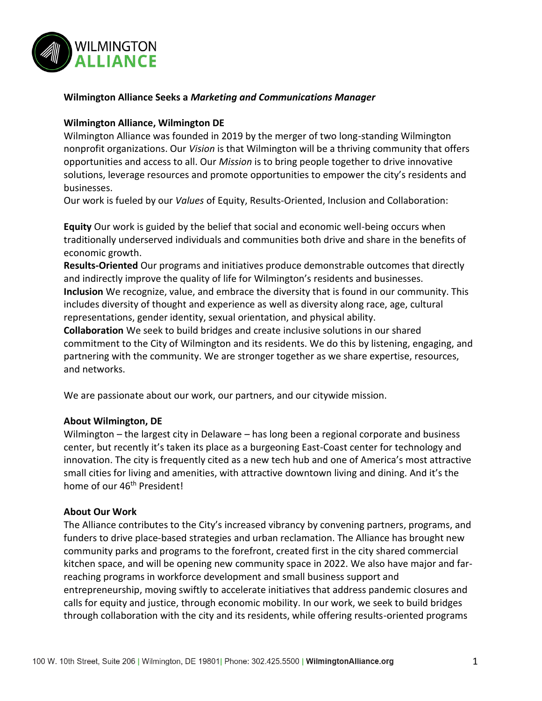

#### **Wilmington Alliance Seeks a** *Marketing and Communications Manager*

#### **Wilmington Alliance, Wilmington DE**

Wilmington Alliance was founded in 2019 by the merger of two long-standing Wilmington nonprofit organizations. Our *Vision* is that Wilmington will be a thriving community that offers opportunities and access to all. Our *Mission* is to bring people together to drive innovative solutions, leverage resources and promote opportunities to empower the city's residents and businesses.

Our work is fueled by our *Values* of Equity, Results-Oriented, Inclusion and Collaboration:

**Equity** Our work is guided by the belief that social and economic well-being occurs when traditionally underserved individuals and communities both drive and share in the benefits of economic growth.

**Results-Oriented** Our programs and initiatives produce demonstrable outcomes that directly and indirectly improve the quality of life for Wilmington's residents and businesses.

**Inclusion** We recognize, value, and embrace the diversity that is found in our community. This includes diversity of thought and experience as well as diversity along race, age, cultural representations, gender identity, sexual orientation, and physical ability.

**Collaboration** We seek to build bridges and create inclusive solutions in our shared commitment to the City of Wilmington and its residents. We do this by listening, engaging, and partnering with the community. We are stronger together as we share expertise, resources, and networks.

We are passionate about our work, our partners, and our citywide mission.

## **About Wilmington, DE**

Wilmington – the largest city in Delaware – has long been a regional corporate and business center, but recently it's taken its place as a burgeoning East-Coast center for technology and innovation. The city is frequently cited as a new tech hub and one of America's most attractive small cities for living and amenities, with attractive downtown living and dining. And it's the home of our 46<sup>th</sup> President!

#### **About Our Work**

The Alliance contributes to the City's increased vibrancy by convening partners, programs, and funders to drive place-based strategies and urban reclamation. The Alliance has brought new community parks and programs to the forefront, created first in the city shared commercial kitchen space, and will be opening new community space in 2022. We also have major and farreaching programs in workforce development and small business support and entrepreneurship, moving swiftly to accelerate initiatives that address pandemic closures and calls for equity and justice, through economic mobility. In our work, we seek to build bridges through collaboration with the city and its residents, while offering results-oriented programs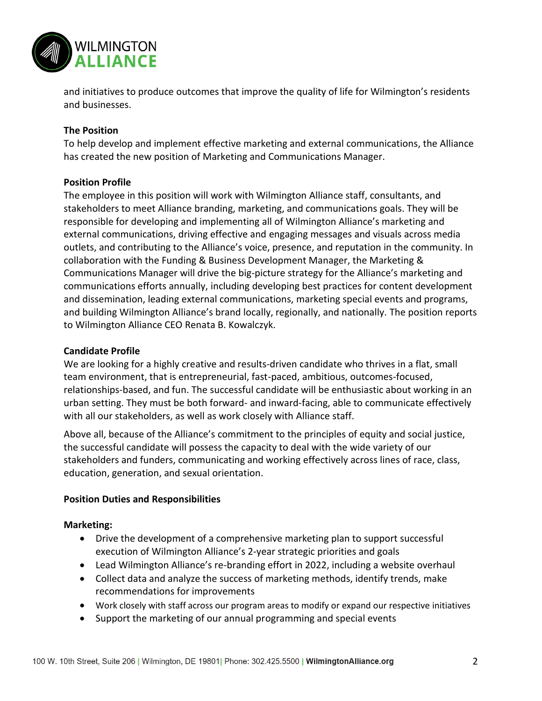

and initiatives to produce outcomes that improve the quality of life for Wilmington's residents and businesses.

# **The Position**

To help develop and implement effective marketing and external communications, the Alliance has created the new position of Marketing and Communications Manager.

## **Position Profile**

The employee in this position will work with Wilmington Alliance staff, consultants, and stakeholders to meet Alliance branding, marketing, and communications goals. They will be responsible for developing and implementing all of Wilmington Alliance's marketing and external communications, driving effective and engaging messages and visuals across media outlets, and contributing to the Alliance's voice, presence, and reputation in the community. In collaboration with the Funding & Business Development Manager, the Marketing & Communications Manager will drive the big-picture strategy for the Alliance's marketing and communications efforts annually, including developing best practices for content development and dissemination, leading external communications, marketing special events and programs, and building Wilmington Alliance's brand locally, regionally, and nationally. The position reports to Wilmington Alliance CEO Renata B. Kowalczyk.

## **Candidate Profile**

We are looking for a highly creative and results-driven candidate who thrives in a flat, small team environment, that is entrepreneurial, fast-paced, ambitious, outcomes-focused, relationships-based, and fun. The successful candidate will be enthusiastic about working in an urban setting. They must be both forward- and inward-facing, able to communicate effectively with all our stakeholders, as well as work closely with Alliance staff.

Above all, because of the Alliance's commitment to the principles of equity and social justice, the successful candidate will possess the capacity to deal with the wide variety of our stakeholders and funders, communicating and working effectively across lines of race, class, education, generation, and sexual orientation.

## **Position Duties and Responsibilities**

## **Marketing:**

- Drive the development of a comprehensive marketing plan to support successful execution of Wilmington Alliance's 2-year strategic priorities and goals
- Lead Wilmington Alliance's re-branding effort in 2022, including a website overhaul
- Collect data and analyze the success of marketing methods, identify trends, make recommendations for improvements
- Work closely with staff across our program areas to modify or expand our respective initiatives
- Support the marketing of our annual programming and special events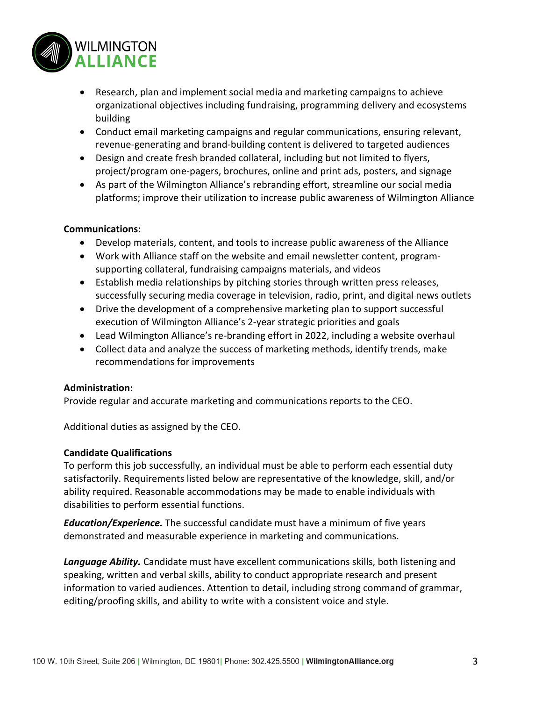

- Research, plan and implement social media and marketing campaigns to achieve organizational objectives including fundraising, programming delivery and ecosystems building
- Conduct email marketing campaigns and regular communications, ensuring relevant, revenue-generating and brand-building content is delivered to targeted audiences
- Design and create fresh branded collateral, including but not limited to flyers, project/program one-pagers, brochures, online and print ads, posters, and signage
- As part of the Wilmington Alliance's rebranding effort, streamline our social media platforms; improve their utilization to increase public awareness of Wilmington Alliance

# **Communications:**

- Develop materials, content, and tools to increase public awareness of the Alliance
- Work with Alliance staff on the website and email newsletter content, programsupporting collateral, fundraising campaigns materials, and videos
- Establish media relationships by pitching stories through written press releases, successfully securing media coverage in television, radio, print, and digital news outlets
- Drive the development of a comprehensive marketing plan to support successful execution of Wilmington Alliance's 2-year strategic priorities and goals
- Lead Wilmington Alliance's re-branding effort in 2022, including a website overhaul
- Collect data and analyze the success of marketing methods, identify trends, make recommendations for improvements

# **Administration:**

Provide regular and accurate marketing and communications reports to the CEO.

Additional duties as assigned by the CEO.

# **Candidate Qualifications**

To perform this job successfully, an individual must be able to perform each essential duty satisfactorily. Requirements listed below are representative of the knowledge, skill, and/or ability required. Reasonable accommodations may be made to enable individuals with disabilities to perform essential functions.

*Education/Experience.* The successful candidate must have a minimum of five years demonstrated and measurable experience in marketing and communications.

*Language Ability.* Candidate must have excellent communications skills, both listening and speaking, written and verbal skills, ability to conduct appropriate research and present information to varied audiences. Attention to detail, including strong command of grammar, editing/proofing skills, and ability to write with a consistent voice and style.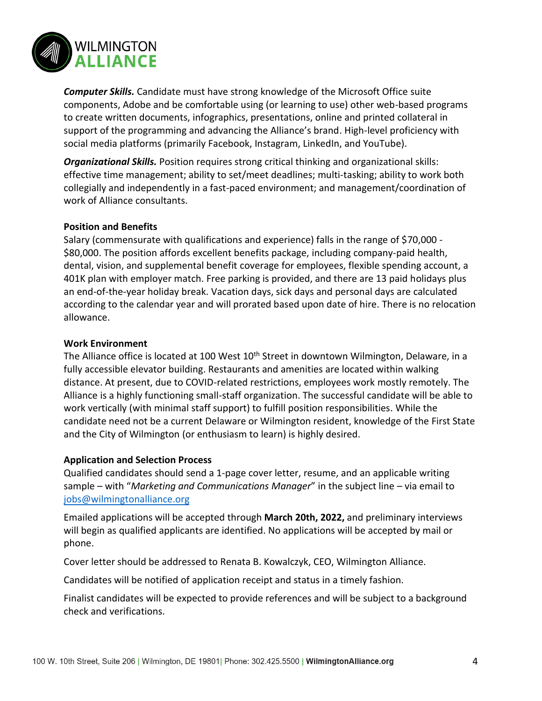

*Computer Skills.* Candidate must have strong knowledge of the Microsoft Office suite components, Adobe and be comfortable using (or learning to use) other web-based programs to create written documents, infographics, presentations, online and printed collateral in support of the programming and advancing the Alliance's brand. High-level proficiency with social media platforms (primarily Facebook, Instagram, LinkedIn, and YouTube).

*Organizational Skills.* Position requires strong critical thinking and organizational skills: effective time management; ability to set/meet deadlines; multi-tasking; ability to work both collegially and independently in a fast-paced environment; and management/coordination of work of Alliance consultants.

## **Position and Benefits**

Salary (commensurate with qualifications and experience) falls in the range of \$70,000 - \$80,000. The position affords excellent benefits package, including company-paid health, dental, vision, and supplemental benefit coverage for employees, flexible spending account, a 401K plan with employer match. Free parking is provided, and there are 13 paid holidays plus an end-of-the-year holiday break. Vacation days, sick days and personal days are calculated according to the calendar year and will prorated based upon date of hire. There is no relocation allowance.

#### **Work Environment**

The Alliance office is located at 100 West 10<sup>th</sup> Street in downtown Wilmington, Delaware, in a fully accessible elevator building. Restaurants and amenities are located within walking distance. At present, due to COVID-related restrictions, employees work mostly remotely. The Alliance is a highly functioning small-staff organization. The successful candidate will be able to work vertically (with minimal staff support) to fulfill position responsibilities. While the candidate need not be a current Delaware or Wilmington resident, knowledge of the First State and the City of Wilmington (or enthusiasm to learn) is highly desired.

#### **Application and Selection Process**

Qualified candidates should send a 1-page cover letter, resume, and an applicable writing sample – with "*Marketing and Communications Manager*" in the subject line – via email to [jobs@wilmingtonalliance.org](mailto:jobs@wilmingtonalliance.org) 

Emailed applications will be accepted through **March 20th, 2022,** and preliminary interviews will begin as qualified applicants are identified. No applications will be accepted by mail or phone.

Cover letter should be addressed to Renata B. Kowalczyk, CEO, Wilmington Alliance.

Candidates will be notified of application receipt and status in a timely fashion.

Finalist candidates will be expected to provide references and will be subject to a background check and verifications.